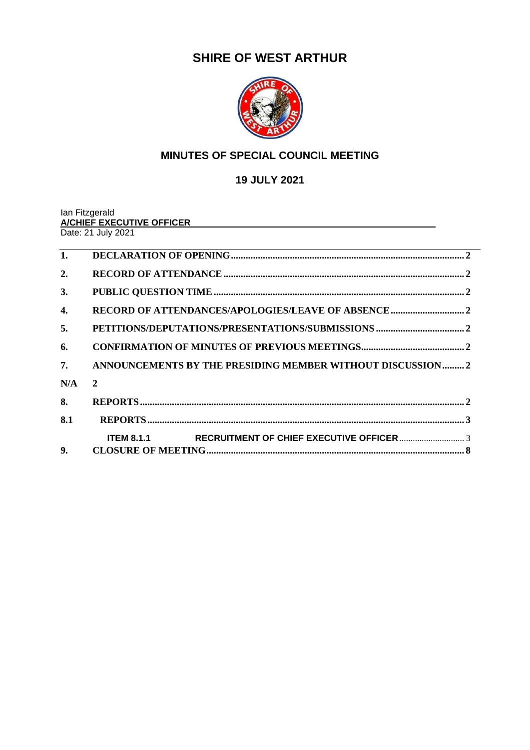# **SHIRE OF WEST ARTHUR**



# **MINUTES OF SPECIAL COUNCIL MEETING**

**19 JULY 2021**

Ian Fitzgerald **A/CHIEF EXECUTIVE OFFICER** Date: 21 July 2021

| 1.  |                                                           |
|-----|-----------------------------------------------------------|
| 2.  |                                                           |
| 3.  |                                                           |
| 4.  |                                                           |
| 5.  |                                                           |
| 6.  |                                                           |
| 7.  | ANNOUNCEMENTS BY THE PRESIDING MEMBER WITHOUT DISCUSSION2 |
| N/A | $\overline{2}$                                            |
| 8.  |                                                           |
| 8.1 |                                                           |
| 9.  |                                                           |
|     |                                                           |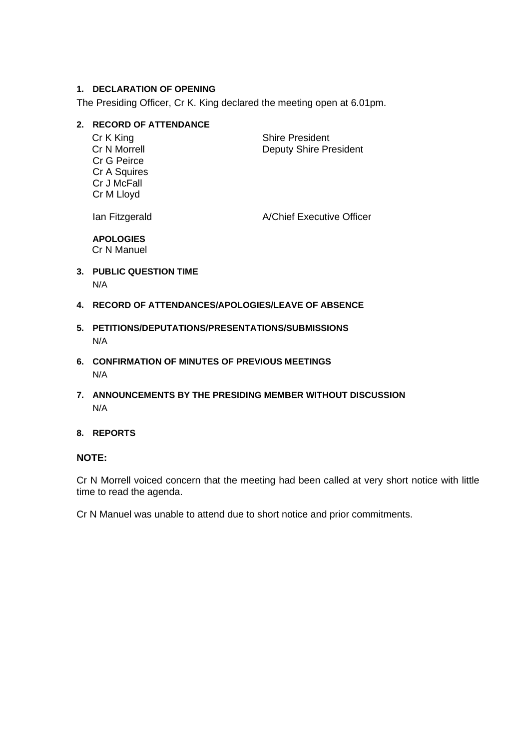# <span id="page-1-0"></span>**1. DECLARATION OF OPENING**

The Presiding Officer, Cr K. King declared the meeting open at 6.01pm.

# <span id="page-1-1"></span>**2. RECORD OF ATTENDANCE**

Cr G Peirce Cr A Squires Cr J McFall Cr M Lloyd

Cr K King Shire President Cr N Morrell **Cr N Morrell Deputy Shire President** 

Ian Fitzgerald **A/Chief Executive Officer** 

**APOLOGIES** Cr N Manuel

- <span id="page-1-2"></span>**3. PUBLIC QUESTION TIME** N/A
- <span id="page-1-3"></span>**4. RECORD OF ATTENDANCES/APOLOGIES/LEAVE OF ABSENCE**
- <span id="page-1-4"></span>**5. PETITIONS/DEPUTATIONS/PRESENTATIONS/SUBMISSIONS** N/A
- <span id="page-1-5"></span>**6. CONFIRMATION OF MINUTES OF PREVIOUS MEETINGS**  N/A
- <span id="page-1-7"></span><span id="page-1-6"></span>**7. ANNOUNCEMENTS BY THE PRESIDING MEMBER WITHOUT DISCUSSION** N/A

#### <span id="page-1-8"></span>**8. REPORTS**

# **NOTE:**

Cr N Morrell voiced concern that the meeting had been called at very short notice with little time to read the agenda.

Cr N Manuel was unable to attend due to short notice and prior commitments.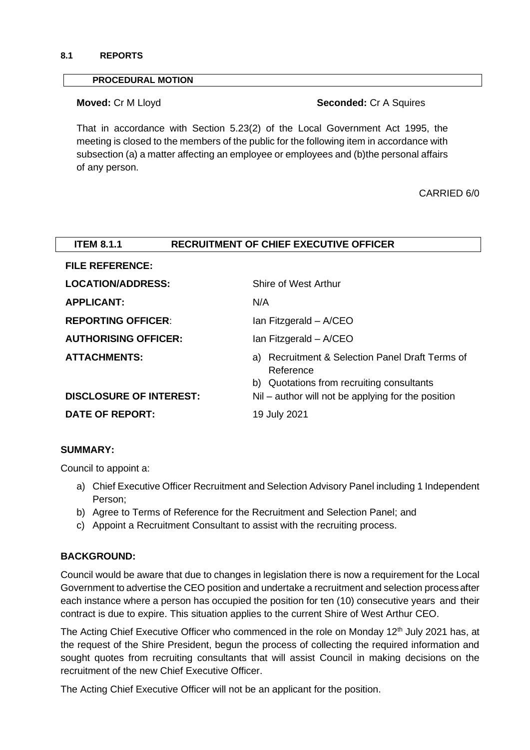#### <span id="page-2-0"></span>**8.1 REPORTS**

#### **PROCEDURAL MOTION**

# **Moved:** Cr M Lloyd **Seconded:** Cr A Squires

That in accordance with Section 5.23(2) of the Local Government Act 1995, the meeting is closed to the members of the public for the following item in accordance with subsection (a) a matter affecting an employee or employees and (b)the personal affairs of any person.

CARRIED 6/0

<span id="page-2-1"></span>

| <b>ITEM 8.1.1</b>              | <b>RECRUITMENT OF CHIEF EXECUTIVE OFFICER</b>                                                             |  |  |
|--------------------------------|-----------------------------------------------------------------------------------------------------------|--|--|
| <b>FILE REFERENCE:</b>         |                                                                                                           |  |  |
| <b>LOCATION/ADDRESS:</b>       | Shire of West Arthur                                                                                      |  |  |
| <b>APPLICANT:</b>              | N/A                                                                                                       |  |  |
| <b>REPORTING OFFICER:</b>      | Ian Fitzgerald - A/CEO                                                                                    |  |  |
| <b>AUTHORISING OFFICER:</b>    | Ian Fitzgerald - A/CEO                                                                                    |  |  |
| <b>ATTACHMENTS:</b>            | a) Recruitment & Selection Panel Draft Terms of<br>Reference<br>b) Quotations from recruiting consultants |  |  |
| <b>DISCLOSURE OF INTEREST:</b> | Nil – author will not be applying for the position                                                        |  |  |
| <b>DATE OF REPORT:</b>         | 19 July 2021                                                                                              |  |  |

# **SUMMARY:**

Council to appoint a:

- a) Chief Executive Officer Recruitment and Selection Advisory Panel including 1 Independent Person;
- b) Agree to Terms of Reference for the Recruitment and Selection Panel; and
- c) Appoint a Recruitment Consultant to assist with the recruiting process.

# **BACKGROUND:**

Council would be aware that due to changes in legislation there is now a requirement for the Local Government to advertise the CEO position and undertake a recruitment and selection processafter each instance where a person has occupied the position for ten (10) consecutive years and their contract is due to expire. This situation applies to the current Shire of West Arthur CEO.

The Acting Chief Executive Officer who commenced in the role on Monday 12<sup>th</sup> July 2021 has, at the request of the Shire President, begun the process of collecting the required information and sought quotes from recruiting consultants that will assist Council in making decisions on the recruitment of the new Chief Executive Officer.

The Acting Chief Executive Officer will not be an applicant for the position.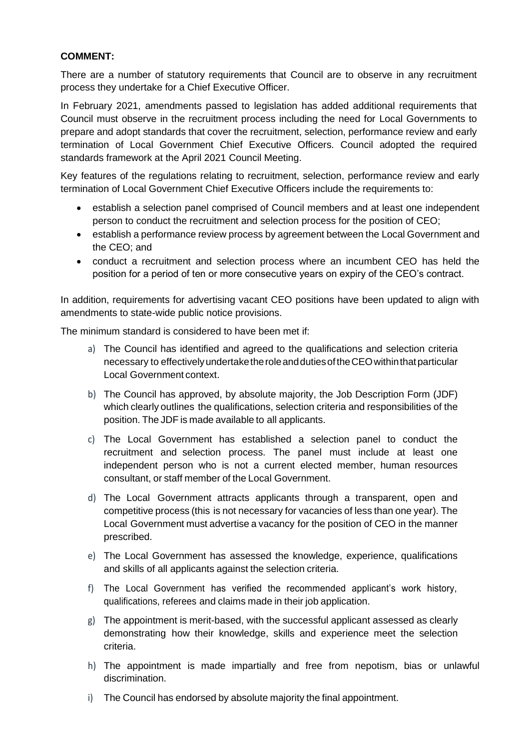# **COMMENT:**

There are a number of statutory requirements that Council are to observe in any recruitment process they undertake for a Chief Executive Officer.

In February 2021, amendments passed to legislation has added additional requirements that Council must observe in the recruitment process including the need for Local Governments to prepare and adopt standards that cover the recruitment, selection, performance review and early termination of Local Government Chief Executive Officers. Council adopted the required standards framework at the April 2021 Council Meeting.

Key features of the regulations relating to recruitment, selection, performance review and early termination of Local Government Chief Executive Officers include the requirements to:

- establish a selection panel comprised of Council members and at least one independent person to conduct the recruitment and selection process for the position of CEO;
- establish a performance review process by agreement between the Local Government and the CEO; and
- conduct a recruitment and selection process where an incumbent CEO has held the position for a period of ten or more consecutive years on expiry of the CEO's contract.

In addition, requirements for advertising vacant CEO positions have been updated to align with amendments to state-wide public notice provisions.

The minimum standard is considered to have been met if:

- a) The Council has identified and agreed to the qualifications and selection criteria necessary to effectively undertake the role and duties of the CEO within that particular Local Government context.
- b) The Council has approved, by absolute majority, the Job Description Form (JDF) which clearly outlines the qualifications, selection criteria and responsibilities of the position. The JDF is made available to all applicants.
- c) The Local Government has established a selection panel to conduct the recruitment and selection process. The panel must include at least one independent person who is not a current elected member, human resources consultant, or staff member of the Local Government.
- d) The Local Government attracts applicants through a transparent, open and competitive process (this is not necessary for vacancies of less than one year). The Local Government must advertise a vacancy for the position of CEO in the manner prescribed.
- e) The Local Government has assessed the knowledge, experience, qualifications and skills of all applicants against the selection criteria.
- f) The Local Government has verified the recommended applicant's work history, qualifications, referees and claims made in their job application.
- g) The appointment is merit-based, with the successful applicant assessed as clearly demonstrating how their knowledge, skills and experience meet the selection criteria.
- h) The appointment is made impartially and free from nepotism, bias or unlawful discrimination.
- i) The Council has endorsed by absolute majority the final appointment.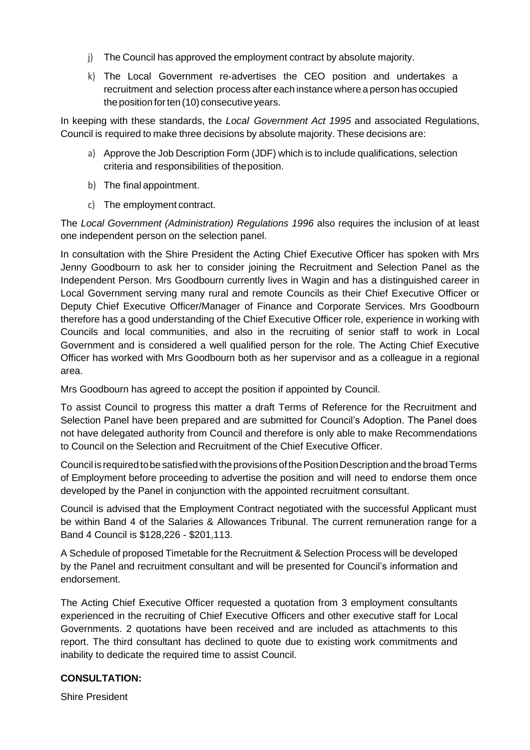- j) The Council has approved the employment contract by absolute majority.
- k) The Local Government re-advertises the CEO position and undertakes a recruitment and selection process after each instance where a person has occupied the position for ten (10) consecutive years.

In keeping with these standards, the *Local Government Act 1995* and associated Regulations, Council is required to make three decisions by absolute majority. These decisions are:

- a) Approve the Job Description Form (JDF) which is to include qualifications, selection criteria and responsibilities of theposition.
- b) The final appointment.
- c) The employment contract.

The *Local Government (Administration) Regulations 1996* also requires the inclusion of at least one independent person on the selection panel.

In consultation with the Shire President the Acting Chief Executive Officer has spoken with Mrs Jenny Goodbourn to ask her to consider joining the Recruitment and Selection Panel as the Independent Person. Mrs Goodbourn currently lives in Wagin and has a distinguished career in Local Government serving many rural and remote Councils as their Chief Executive Officer or Deputy Chief Executive Officer/Manager of Finance and Corporate Services. Mrs Goodbourn therefore has a good understanding of the Chief Executive Officer role, experience in working with Councils and local communities, and also in the recruiting of senior staff to work in Local Government and is considered a well qualified person for the role. The Acting Chief Executive Officer has worked with Mrs Goodbourn both as her supervisor and as a colleague in a regional area.

Mrs Goodbourn has agreed to accept the position if appointed by Council.

To assist Council to progress this matter a draft Terms of Reference for the Recruitment and Selection Panel have been prepared and are submitted for Council's Adoption. The Panel does not have delegated authority from Council and therefore is only able to make Recommendations to Council on the Selection and Recruitment of the Chief Executive Officer.

Council is required to be satisfied with the provisions of the Position Description and the broad Terms of Employment before proceeding to advertise the position and will need to endorse them once developed by the Panel in conjunction with the appointed recruitment consultant.

Council is advised that the Employment Contract negotiated with the successful Applicant must be within Band 4 of the Salaries & Allowances Tribunal. The current remuneration range for a Band 4 Council is \$128,226 - \$201,113.

A Schedule of proposed Timetable for the Recruitment & Selection Process will be developed by the Panel and recruitment consultant and will be presented for Council's information and endorsement.

The Acting Chief Executive Officer requested a quotation from 3 employment consultants experienced in the recruiting of Chief Executive Officers and other executive staff for Local Governments. 2 quotations have been received and are included as attachments to this report. The third consultant has declined to quote due to existing work commitments and inability to dedicate the required time to assist Council.

# **CONSULTATION:**

Shire President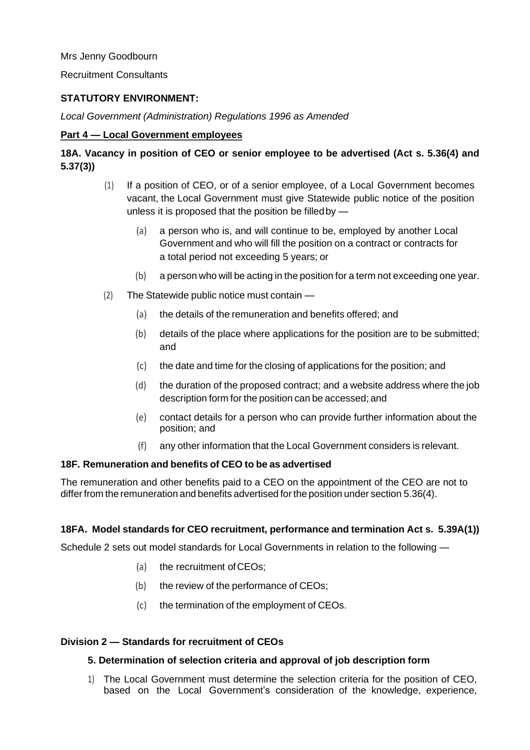Mrs Jenny Goodbourn

Recruitment Consultants

# **STATUTORY ENVIRONMENT:**

*Local Government (Administration) Regulations 1996 as Amended*

# **Part 4 — Local Government employees**

# **18A. Vacancy in position of CEO or senior employee to be advertised (Act s. 5.36(4) and 5.37(3))**

- (1) If a position of CEO, or of a senior employee, of a Local Government becomes vacant, the Local Government must give Statewide public notice of the position unless it is proposed that the position be filled by  $-$ 
	- (a) a person who is, and will continue to be, employed by another Local Government and who will fill the position on a contract or contracts for a total period not exceeding 5 years; or
	- (b) a person who will be acting in the position for a term not exceeding one year.
- (2) The Statewide public notice must contain
	- (a) the details of the remuneration and benefits offered; and
	- (b) details of the place where applications for the position are to be submitted; and
	- (c) the date and time for the closing of applications for the position; and
	- (d) the duration of the proposed contract; and a website address where the job description form for the position can be accessed; and
	- (e) contact details for a person who can provide further information about the position; and
	- (f) any other information that the Local Government considers is relevant.

# **18F. Remuneration and benefits of CEO to be as advertised**

The remuneration and other benefits paid to a CEO on the appointment of the CEO are not to differ from the remuneration and benefits advertised for the position under section 5.36(4).

# **18FA. Model standards for CEO recruitment, performance and termination Act s. 5.39A(1))**

Schedule 2 sets out model standards for Local Governments in relation to the following —

- (a) the recruitment ofCEOs;
- (b) the review of the performance of CEOs;
- (c) the termination of the employment of CEOs.

# **Division 2 — Standards for recruitment of CEOs**

# **5. Determination of selection criteria and approval of job description form**

1) The Local Government must determine the selection criteria for the position of CEO, based on the Local Government's consideration of the knowledge, experience,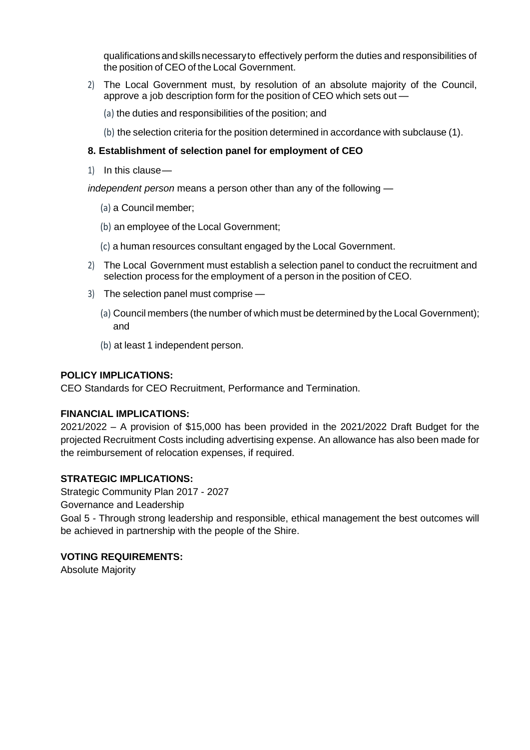qualificationsandskillsnecessaryto effectively perform the duties and responsibilities of the position of CEO of the Local Government.

- 2) The Local Government must, by resolution of an absolute majority of the Council, approve a job description form for the position of CEO which sets out —
	- (a) the duties and responsibilities of the position; and
	- (b) the selection criteria for the position determined in accordance with subclause (1).

# **8. Establishment of selection panel for employment of CEO**

1) In this clause—

*independent person* means a person other than any of the following —

- (a) a Council member;
- (b) an employee of the Local Government;
- (c) a human resources consultant engaged by the Local Government.
- 2) The Local Government must establish a selection panel to conduct the recruitment and selection process for the employment of a person in the position of CEO.
- 3) The selection panel must comprise
	- (a) Council members (the number of which must be determined by the Local Government); and
	- (b) at least 1 independent person.

# **POLICY IMPLICATIONS:**

CEO Standards for CEO Recruitment, Performance and Termination.

#### **FINANCIAL IMPLICATIONS:**

2021/2022 – A provision of \$15,000 has been provided in the 2021/2022 Draft Budget for the projected Recruitment Costs including advertising expense. An allowance has also been made for the reimbursement of relocation expenses, if required.

# **STRATEGIC IMPLICATIONS:**

Strategic Community Plan 2017 - 2027

Governance and Leadership

Goal 5 *-* Through strong leadership and responsible, ethical management the best outcomes will be achieved in partnership with the people of the Shire.

# **VOTING REQUIREMENTS:**

Absolute Majority